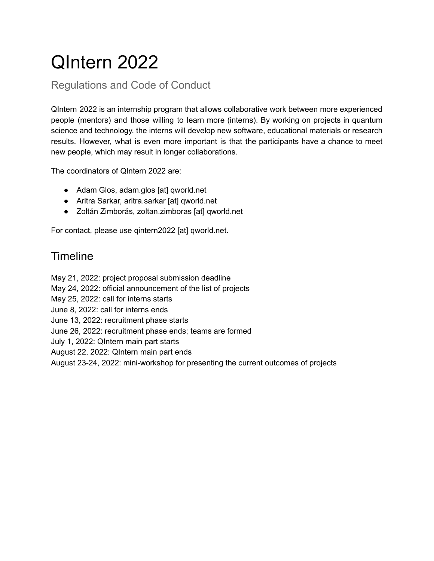# QIntern 2022

Regulations and Code of Conduct

QIntern 2022 is an internship program that allows collaborative work between more experienced people (mentors) and those willing to learn more (interns). By working on projects in quantum science and technology, the interns will develop new software, educational materials or research results. However, what is even more important is that the participants have a chance to meet new people, which may result in longer collaborations.

The coordinators of QIntern 2022 are:

- Adam Glos, adam.glos [at] qworld.net
- Aritra Sarkar, aritra.sarkar [at] qworld.net
- Zoltán Zimborás, zoltan.zimboras [at] qworld.net

For contact, please use qintern2022 [at] qworld.net.

# **Timeline**

May 21, 2022: project proposal submission deadline

May 24, 2022: official announcement of the list of projects

May 25, 2022: call for interns starts

June 8, 2022: call for interns ends

June 13, 2022: recruitment phase starts

June 26, 2022: recruitment phase ends; teams are formed

July 1, 2022: QIntern main part starts

August 22, 2022: QIntern main part ends

August 23-24, 2022: mini-workshop for presenting the current outcomes of projects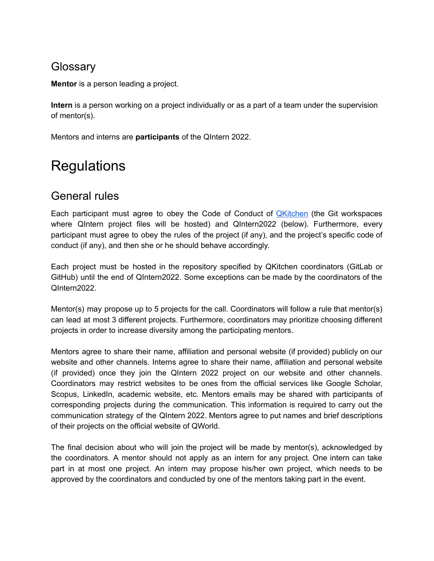### **Glossarv**

**Mentor** is a person leading a project.

**Intern** is a person working on a project individually or as a part of a team under the supervision of mentor(s).

Mentors and interns are **participants** of the QIntern 2022.

# **Regulations**

## General rules

Each participant must agree to obey the Code of Conduct of **[QKitchen](https://gitlab.com/qkitchen/qworld-documentation/-/blob/dda01f1b5e88a324931271fd57487c86771b0e93/general/code_of_conduct/coc_qkitchen_2020_03_30.md)** (the Git workspaces where QIntern project files will be hosted) and QIntern2022 (below). Furthermore, every participant must agree to obey the rules of the project (if any), and the project's specific code of conduct (if any), and then she or he should behave accordingly.

Each project must be hosted in the repository specified by QKitchen coordinators (GitLab or GitHub) until the end of QIntern2022. Some exceptions can be made by the coordinators of the QIntern2022.

Mentor(s) may propose up to 5 projects for the call. Coordinators will follow a rule that mentor(s) can lead at most 3 different projects. Furthermore, coordinators may prioritize choosing different projects in order to increase diversity among the participating mentors.

Mentors agree to share their name, affiliation and personal website (if provided) publicly on our website and other channels. Interns agree to share their name, affiliation and personal website (if provided) once they join the QIntern 2022 project on our website and other channels. Coordinators may restrict websites to be ones from the official services like Google Scholar, Scopus, LinkedIn, academic website, etc. Mentors emails may be shared with participants of corresponding projects during the communication. This information is required to carry out the communication strategy of the QIntern 2022. Mentors agree to put names and brief descriptions of their projects on the official website of QWorld.

The final decision about who will join the project will be made by mentor(s), acknowledged by the coordinators. A mentor should not apply as an intern for any project. One intern can take part in at most one project. An intern may propose his/her own project, which needs to be approved by the coordinators and conducted by one of the mentors taking part in the event.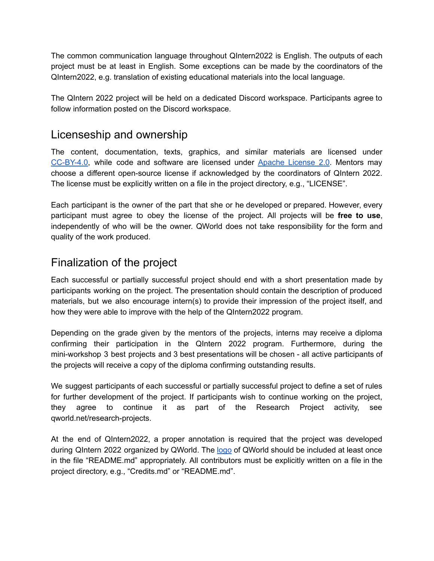The common communication language throughout QIntern2022 is English. The outputs of each project must be at least in English. Some exceptions can be made by the coordinators of the QIntern2022, e.g. translation of existing educational materials into the local language.

The QIntern 2022 project will be held on a dedicated Discord workspace. Participants agree to follow information posted on the Discord workspace.

### Licenseship and ownership

The content, documentation, texts, graphics, and similar materials are licensed under [CC-BY-4.0](https://creativecommons.org/licenses/by/4.0/legalcode), while code and software are licensed under Apache [License](http://www.apache.org/licenses/LICENSE-2.0) 2.0. Mentors may choose a different open-source license if acknowledged by the coordinators of QIntern 2022. The license must be explicitly written on a file in the project directory, e.g., "LICENSE".

Each participant is the owner of the part that she or he developed or prepared. However, every participant must agree to obey the license of the project. All projects will be **free to use**, independently of who will be the owner. QWorld does not take responsibility for the form and quality of the work produced.

## Finalization of the project

Each successful or partially successful project should end with a short presentation made by participants working on the project. The presentation should contain the description of produced materials, but we also encourage intern(s) to provide their impression of the project itself, and how they were able to improve with the help of the QIntern2022 program.

Depending on the grade given by the mentors of the projects, interns may receive a diploma confirming their participation in the QIntern 2022 program. Furthermore, during the mini-workshop 3 best projects and 3 best presentations will be chosen - all active participants of the projects will receive a copy of the diploma confirming outstanding results.

We suggest participants of each successful or partially successful project to define a set of rules for further development of the project. If participants wish to continue working on the project, they agree to continue it as part of the Research Project activity, see qworld.net/research-projects.

At the end of QIntern2022, a proper annotation is required that the project was developed during QIntern 2022 organized by QWorld. The [logo](https://gitlab.com/qkitchen/qworld-documentation/-/blob/release/images/QWorld/QWorld.png) of QWorld should be included at least once in the file "README.md" appropriately. All contributors must be explicitly written on a file in the project directory, e.g., "Credits.md" or "README.md".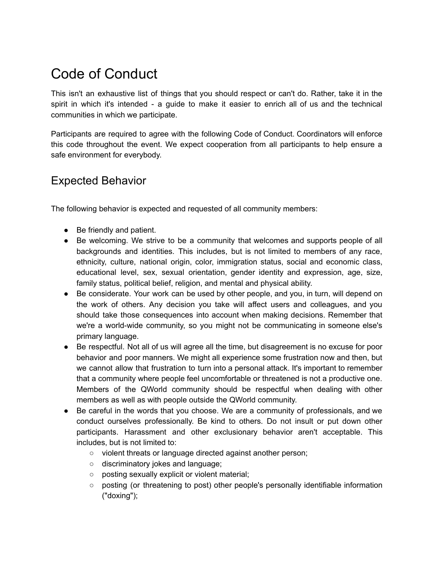# Code of Conduct

This isn't an exhaustive list of things that you should respect or can't do. Rather, take it in the spirit in which it's intended - a guide to make it easier to enrich all of us and the technical communities in which we participate.

Participants are required to agree with the following Code of Conduct. Coordinators will enforce this code throughout the event. We expect cooperation from all participants to help ensure a safe environment for everybody.

### Expected Behavior

The following behavior is expected and requested of all community members:

- Be friendly and patient.
- Be welcoming. We strive to be a community that welcomes and supports people of all backgrounds and identities. This includes, but is not limited to members of any race, ethnicity, culture, national origin, color, immigration status, social and economic class, educational level, sex, sexual orientation, gender identity and expression, age, size, family status, political belief, religion, and mental and physical ability.
- Be considerate. Your work can be used by other people, and you, in turn, will depend on the work of others. Any decision you take will affect users and colleagues, and you should take those consequences into account when making decisions. Remember that we're a world-wide community, so you might not be communicating in someone else's primary language.
- Be respectful. Not all of us will agree all the time, but disagreement is no excuse for poor behavior and poor manners. We might all experience some frustration now and then, but we cannot allow that frustration to turn into a personal attack. It's important to remember that a community where people feel uncomfortable or threatened is not a productive one. Members of the QWorld community should be respectful when dealing with other members as well as with people outside the QWorld community.
- Be careful in the words that you choose. We are a community of professionals, and we conduct ourselves professionally. Be kind to others. Do not insult or put down other participants. Harassment and other exclusionary behavior aren't acceptable. This includes, but is not limited to:
	- violent threats or language directed against another person;
	- discriminatory jokes and language;
	- posting sexually explicit or violent material;
	- posting (or threatening to post) other people's personally identifiable information ("doxing");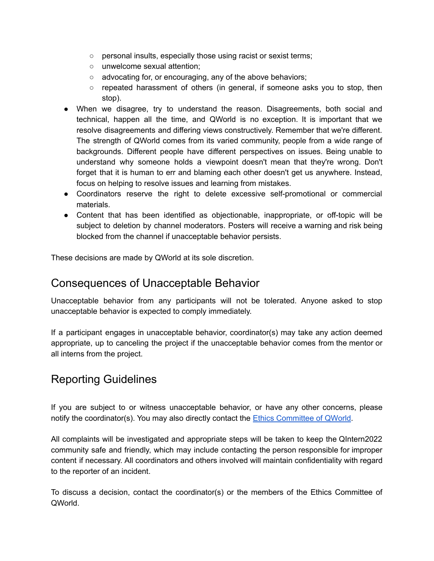- personal insults, especially those using racist or sexist terms;
- unwelcome sexual attention;
- advocating for, or encouraging, any of the above behaviors;
- $\circ$  repeated harassment of others (in general, if someone asks you to stop, then stop).
- When we disagree, try to understand the reason. Disagreements, both social and technical, happen all the time, and QWorld is no exception. It is important that we resolve disagreements and differing views constructively. Remember that we're different. The strength of QWorld comes from its varied community, people from a wide range of backgrounds. Different people have different perspectives on issues. Being unable to understand why someone holds a viewpoint doesn't mean that they're wrong. Don't forget that it is human to err and blaming each other doesn't get us anywhere. Instead, focus on helping to resolve issues and learning from mistakes.
- Coordinators reserve the right to delete excessive self-promotional or commercial materials.
- Content that has been identified as objectionable, inappropriate, or off-topic will be subject to deletion by channel moderators. Posters will receive a warning and risk being blocked from the channel if unacceptable behavior persists.

These decisions are made by QWorld at its sole discretion.

### Consequences of Unacceptable Behavior

Unacceptable behavior from any participants will not be tolerated. Anyone asked to stop unacceptable behavior is expected to comply immediately.

If a participant engages in unacceptable behavior, coordinator(s) may take any action deemed appropriate, up to canceling the project if the unacceptable behavior comes from the mentor or all interns from the project.

### Reporting Guidelines

If you are subject to or witness unacceptable behavior, or have any other concerns, please notify the coordinator(s). You may also directly contact the Ethics [Committee](http://qworld.lu.lv/index.php/contact) of QWorld.

All complaints will be investigated and appropriate steps will be taken to keep the QIntern2022 community safe and friendly, which may include contacting the person responsible for improper content if necessary. All coordinators and others involved will maintain confidentiality with regard to the reporter of an incident.

To discuss a decision, contact the coordinator(s) or the members of the Ethics Committee of QWorld.